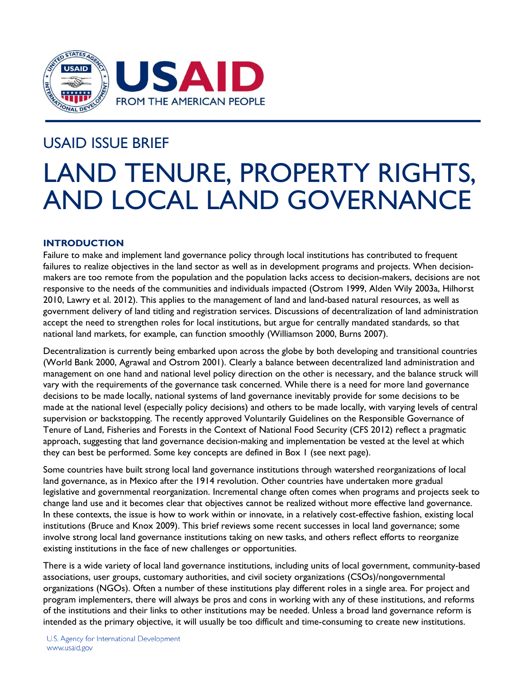

# USAID ISSUE BRIEF

# LAND TENURE, PROPERTY RIGHTS, AND LOCAL LAND GOVERNANCE

# **INTRODUCTION**

Failure to make and implement land governance policy through local institutions has contributed to frequent failures to realize objectives in the land sector as well as in development programs and projects. When decisionmakers are too remote from the population and the population lacks access to decision-makers, decisions are not responsive to the needs of the communities and individuals impacted (Ostrom 1999, Alden Wily 2003a, Hilhorst 2010, Lawry et al. 2012). This applies to the management of land and land-based natural resources, as well as government delivery of land titling and registration services. Discussions of decentralization of land administration accept the need to strengthen roles for local institutions, but argue for centrally mandated standards, so that national land markets, for example, can function smoothly (Williamson 2000, Burns 2007).

Decentralization is currently being embarked upon across the globe by both developing and transitional countries (World Bank 2000, Agrawal and Ostrom 2001). Clearly a balance between decentralized land administration and management on one hand and national level policy direction on the other is necessary, and the balance struck will vary with the requirements of the governance task concerned. While there is a need for more land governance decisions to be made locally, national systems of land governance inevitably provide for some decisions to be made at the national level (especially policy decisions) and others to be made locally, with varying levels of central supervision or backstopping. The recently approved Voluntarily Guidelines on the Responsible Governance of Tenure of Land, Fisheries and Forests in the Context of National Food Security (CFS 2012) reflect a pragmatic approach, suggesting that land governance decision-making and implementation be vested at the level at which they can best be performed. Some key concepts are defined in Box 1 (see next page).

Some countries have built strong local land governance institutions through watershed reorganizations of local land governance, as in Mexico after the 1914 revolution. Other countries have undertaken more gradual legislative and governmental reorganization. Incremental change often comes when programs and projects seek to change land use and it becomes clear that objectives cannot be realized without more effective land governance. In these contexts, the issue is how to work within or innovate, in a relatively cost-effective fashion, existing local institutions (Bruce and Knox 2009). This brief reviews some recent successes in local land governance; some involve strong local land governance institutions taking on new tasks, and others reflect efforts to reorganize existing institutions in the face of new challenges or opportunities.

There is a wide variety of local land governance institutions, including units of local government, community-based associations, user groups, customary authorities, and civil society organizations (CSOs)/nongovernmental organizations (NGOs). Often a number of these institutions play different roles in a single area. For project and program implementers, there will always be pros and cons in working with any of these institutions, and reforms of the institutions and their links to other institutions may be needed. Unless a broad land governance reform is intended as the primary objective, it will usually be too difficult and time-consuming to create new institutions.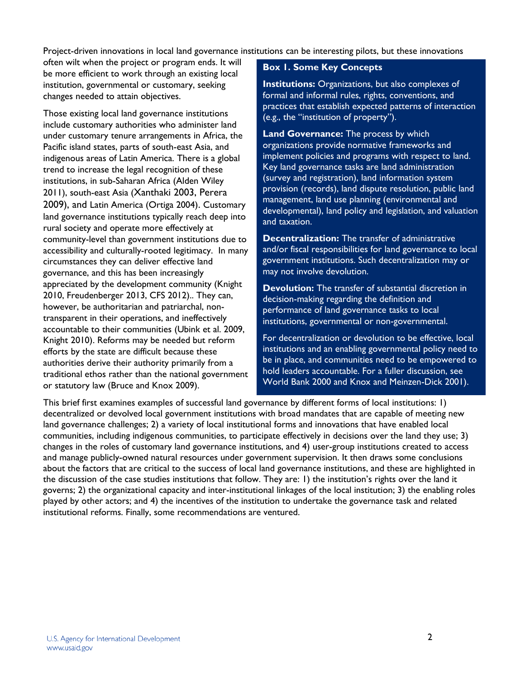Project-driven innovations in local land governance institutions can be interesting pilots, but these innovations

often wilt when the project or program ends. It will be more efficient to work through an existing local institution, governmental or customary, seeking changes needed to attain objectives.

Those existing local land governance institutions include customary authorities who administer land under customary tenure arrangements in Africa, the Pacific island states, parts of south-east Asia, and indigenous areas of Latin America. There is a global trend to increase the legal recognition of these institutions, in sub-Saharan Africa (Alden Wiley 2011), south-east Asia (Xanthaki 2003, Perera 2009), and Latin America (Ortiga 2004). Customary land governance institutions typically reach deep into rural society and operate more effectively at community-level than government institutions due to accessibility and culturally-rooted legitimacy. In many circumstances they can deliver effective land governance, and this has been increasingly appreciated by the development community (Knight 2010, Freudenberger 2013, CFS 2012).. They can, however, be authoritarian and patriarchal, nontransparent in their operations, and ineffectively accountable to their communities (Ubink et al. 2009, Knight 2010). Reforms may be needed but reform efforts by the state are difficult because these authorities derive their authority primarily from a traditional ethos rather than the national government or statutory law (Bruce and Knox 2009).

# **Box 1. Some Key Concepts**

**Institutions:** Organizations, but also complexes of formal and informal rules, rights, conventions, and practices that establish expected patterns of interaction (e.g., the "institution of property").

**Land Governance:** The process by which organizations provide normative frameworks and implement policies and programs with respect to land. Key land governance tasks are land administration (survey and registration), land information system provision (records), land dispute resolution, public land management, land use planning (environmental and developmental), land policy and legislation, and valuation and taxation.

**Decentralization:** The transfer of administrative and/or fiscal responsibilities for land governance to local government institutions. Such decentralization may or may not involve devolution.

**Devolution:** The transfer of substantial discretion in decision-making regarding the definition and performance of land governance tasks to local institutions, governmental or non-governmental.

For decentralization or devolution to be effective, local institutions and an enabling governmental policy need to be in place, and communities need to be empowered to hold leaders accountable. For a fuller discussion, see World Bank 2000 and Knox and Meinzen-Dick 2001).

This brief first examines examples of successful land governance by different forms of local institutions: 1) decentralized or devolved local government institutions with broad mandates that are capable of meeting new land governance challenges; 2) a variety of local institutional forms and innovations that have enabled local communities, including indigenous communities, to participate effectively in decisions over the land they use; 3) changes in the roles of customary land governance institutions, and 4) user-group institutions created to access and manage publicly-owned natural resources under government supervision. It then draws some conclusions about the factors that are critical to the success of local land governance institutions, and these are highlighted in the discussion of the case studies institutions that follow. They are: 1) the institution's rights over the land it governs; 2) the organizational capacity and inter-institutional linkages of the local institution; 3) the enabling roles played by other actors; and 4) the incentives of the institution to undertake the governance task and related institutional reforms. Finally, some recommendations are ventured.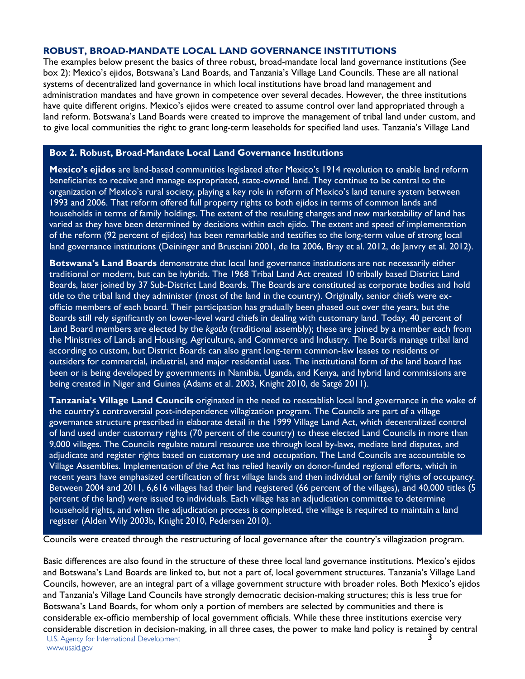#### **ROBUST, BROAD-MANDATE LOCAL LAND GOVERNANCE INSTITUTIONS**

The examples below present the basics of three robust, broad-mandate local land governance institutions (See box 2): Mexico's ejidos, Botswana's Land Boards, and Tanzania's Village Land Councils. These are all national systems of decentralized land governance in which local institutions have broad land management and administration mandates and have grown in competence over several decades. However, the three institutions have quite different origins. Mexico's ejidos were created to assume control over land appropriated through a land reform. Botswana's Land Boards were created to improve the management of tribal land under custom, and to give local communities the right to grant long-term leaseholds for specified land uses. Tanzania's Village Land

### **Box 2. Robust, Broad-Mandate Local Land Governance Institutions**

**Mexico's ejidos** are land-based communities legislated after Mexico's 1914 revolution to enable land reform beneficiaries to receive and manage expropriated, state-owned land. They continue to be central to the organization of Mexico's rural society, playing a key role in reform of Mexico's land tenure system between 1993 and 2006. That reform offered full property rights to both ejidos in terms of common lands and households in terms of family holdings. The extent of the resulting changes and new marketability of land has varied as they have been determined by decisions within each ejido. The extent and speed of implementation of the reform (92 percent of ejidos) has been remarkable and testifies to the long-term value of strong local land governance institutions (Deininger and Brusciani 2001, de Ita 2006, Bray et al. 2012, de Janvry et al. 2012).

**Botswana's Land Boards** demonstrate that local land governance institutions are not necessarily either traditional or modern, but can be hybrids. The 1968 Tribal Land Act created 10 tribally based District Land Boards, later joined by 37 Sub-District Land Boards. The Boards are constituted as corporate bodies and hold title to the tribal land they administer (most of the land in the country). Originally, senior chiefs were exofficio members of each board. Their participation has gradually been phased out over the years, but the Boards still rely significantly on lower-level ward chiefs in dealing with customary land. Today, 40 percent of Land Board members are elected by the *kgotla* (traditional assembly); these are joined by a member each from the Ministries of Lands and Housing, Agriculture, and Commerce and Industry. The Boards manage tribal land according to custom, but District Boards can also grant long-term common-law leases to residents or outsiders for commercial, industrial, and major residential uses. The institutional form of the land board has been or is being developed by governments in Namibia, Uganda, and Kenya, and hybrid land commissions are being created in Niger and Guinea (Adams et al. 2003, Knight 2010, de Satgé 2011).

**Tanzania's Village Land Councils** originated in the need to reestablish local land governance in the wake of the country's controversial post-independence villagization program. The Councils are part of a village governance structure prescribed in elaborate detail in the 1999 Village Land Act, which decentralized control of land used under customary rights (70 percent of the country) to these elected Land Councils in more than 9,000 villages. The Councils regulate natural resource use through local by-laws, mediate land disputes, and adjudicate and register rights based on customary use and occupation. The Land Councils are accountable to Village Assemblies. Implementation of the Act has relied heavily on donor-funded regional efforts, which in recent years have emphasized certification of first village lands and then individual or family rights of occupancy. Between 2004 and 2011, 6,616 villages had their land registered (66 percent of the villages), and 40,000 titles (5 percent of the land) were issued to individuals. Each village has an adjudication committee to determine household rights, and when the adjudication process is completed, the village is required to maintain a land register (Alden Wily 2003b, Knight 2010, Pedersen 2010).

Councils were created through the restructuring of local governance after the country's villagization program.

Basic differences are also found in the structure of these three local land governance institutions. Mexico's ejidos and Botswana's Land Boards are linked to, but not a part of, local government structures. Tanzania's Village Land Councils, however, are an integral part of a village government structure with broader roles. Both Mexico's ejidos and Tanzania's Village Land Councils have strongly democratic decision-making structures; this is less true for Botswana's Land Boards, for whom only a portion of members are selected by communities and there is considerable ex-officio membership of local government officials. While these three institutions exercise very considerable discretion in decision-making, in all three cases, the power to make land policy is retained by central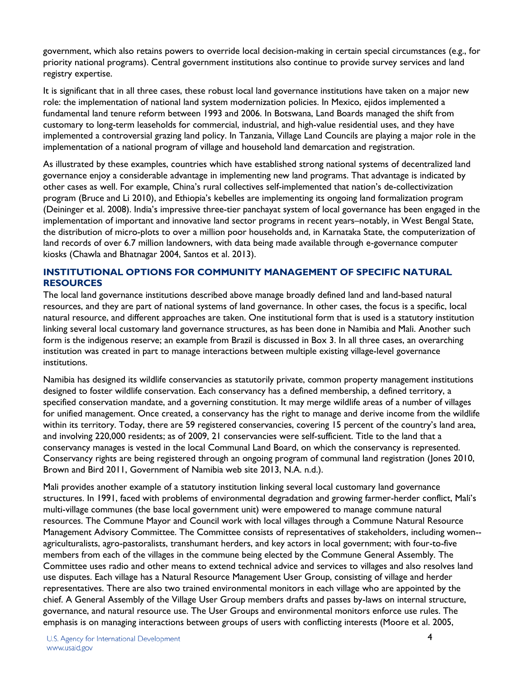government, which also retains powers to override local decision-making in certain special circumstances (e.g., for priority national programs). Central government institutions also continue to provide survey services and land registry expertise.

It is significant that in all three cases, these robust local land governance institutions have taken on a major new role: the implementation of national land system modernization policies. In Mexico, ejidos implemented a fundamental land tenure reform between 1993 and 2006. In Botswana, Land Boards managed the shift from customary to long-term leaseholds for commercial, industrial, and high-value residential uses, and they have implemented a controversial grazing land policy. In Tanzania, Village Land Councils are playing a major role in the implementation of a national program of village and household land demarcation and registration.

As illustrated by these examples, countries which have established strong national systems of decentralized land governance enjoy a considerable advantage in implementing new land programs. That advantage is indicated by other cases as well. For example, China's rural collectives self-implemented that nation's de-collectivization program (Bruce and Li 2010), and Ethiopia's kebelles are implementing its ongoing land formalization program (Deininger et al. 2008). India's impressive three-tier panchayat system of local governance has been engaged in the implementation of important and innovative land sector programs in recent years–notably, in West Bengal State, the distribution of micro-plots to over a million poor households and, in Karnataka State, the computerization of land records of over 6.7 million landowners, with data being made available through e-governance computer kiosks (Chawla and Bhatnagar 2004, Santos et al. 2013).

# **INSTITUTIONAL OPTIONS FOR COMMUNITY MANAGEMENT OF SPECIFIC NATURAL RESOURCES**

The local land governance institutions described above manage broadly defined land and land-based natural resources, and they are part of national systems of land governance. In other cases, the focus is a specific, local natural resource, and different approaches are taken. One institutional form that is used is a statutory institution linking several local customary land governance structures, as has been done in Namibia and Mali. Another such form is the indigenous reserve; an example from Brazil is discussed in Box 3. In all three cases, an overarching institution was created in part to manage interactions between multiple existing village-level governance institutions.

Namibia has designed its wildlife conservancies as statutorily private, common property management institutions designed to foster wildlife conservation. Each conservancy has a defined membership, a defined territory, a specified conservation mandate, and a governing constitution. It may merge wildlife areas of a number of villages for unified management. Once created, a conservancy has the right to manage and derive income from the wildlife within its territory. Today, there are 59 registered conservancies, covering 15 percent of the country's land area, and involving 220,000 residents; as of 2009, 21 conservancies were self-sufficient. Title to the land that a conservancy manages is vested in the local Communal Land Board, on which the conservancy is represented. Conservancy rights are being registered through an ongoing program of communal land registration (Jones 2010, Brown and Bird 2011, Government of Namibia web site 2013, N.A. n.d.).

Mali provides another example of a statutory institution linking several local customary land governance structures. In 1991, faced with problems of environmental degradation and growing farmer-herder conflict, Mali's multi-village communes (the base local government unit) were empowered to manage commune natural resources. The Commune Mayor and Council work with local villages through a Commune Natural Resource Management Advisory Committee. The Committee consists of representatives of stakeholders, including women- agriculturalists, agro-pastoralists, transhumant herders, and key actors in local government; with four-to-five members from each of the villages in the commune being elected by the Commune General Assembly. The Committee uses radio and other means to extend technical advice and services to villages and also resolves land use disputes. Each village has a Natural Resource Management User Group, consisting of village and herder representatives. There are also two trained environmental monitors in each village who are appointed by the chief. A General Assembly of the Village User Group members drafts and passes by-laws on internal structure, governance, and natural resource use. The User Groups and environmental monitors enforce use rules. The emphasis is on managing interactions between groups of users with conflicting interests (Moore et al. 2005,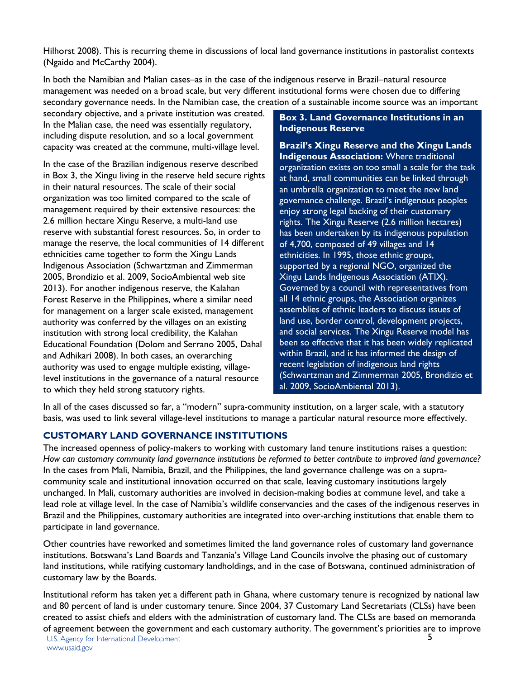Hilhorst 2008). This is recurring theme in discussions of local land governance institutions in pastoralist contexts (Ngaido and McCarthy 2004).

In both the Namibian and Malian cases–as in the case of the indigenous reserve in Brazil–natural resource management was needed on a broad scale, but very different institutional forms were chosen due to differing secondary governance needs. In the Namibian case, the creation of a sustainable income source was an important

secondary objective, and a private institution was created. In the Malian case, the need was essentially regulatory, including dispute resolution, and so a local government capacity was created at the commune, multi-village level.

In the case of the Brazilian indigenous reserve described in Box 3, the Xingu living in the reserve held secure rights in their natural resources. The scale of their social organization was too limited compared to the scale of management required by their extensive resources: the 2.6 million hectare Xingu Reserve, a multi-land use reserve with substantial forest resources. So, in order to manage the reserve, the local communities of 14 different ethnicities came together to form the Xingu Lands Indigenous Association (Schwartzman and Zimmerman 2005, Brondizio et al. 2009, SocioAmbiental web site 2013). For another indigenous reserve, the Kalahan Forest Reserve in the Philippines, where a similar need for management on a larger scale existed, management authority was conferred by the villages on an existing institution with strong local credibility, the Kalahan Educational Foundation (Dolom and Serrano 2005, Dahal and Adhikari 2008). In both cases, an overarching authority was used to engage multiple existing, villagelevel institutions in the governance of a natural resource to which they held strong statutory rights.

# **Box 3. Land Governance Institutions in an Indigenous Reserve**

**Brazil's Xingu Reserve and the Xingu Lands Indigenous Association:** Where traditional organization exists on too small a scale for the task at hand, small communities can be linked through an umbrella organization to meet the new land governance challenge. Brazil's indigenous peoples enjoy strong legal backing of their customary rights. The Xingu Reserve (2.6 million hectares) has been undertaken by its indigenous population of 4,700, composed of 49 villages and 14 ethnicities. In 1995, those ethnic groups, supported by a regional NGO, organized the Xingu Lands Indigenous Association (ATIX). Governed by a council with representatives from all 14 ethnic groups, the Association organizes assemblies of ethnic leaders to discuss issues of land use, border control, development projects, and social services. The Xingu Reserve model has been so effective that it has been widely replicated within Brazil, and it has informed the design of recent legislation of indigenous land rights (Schwartzman and Zimmerman 2005, Brondizio et al. 2009, SocioAmbiental 2013).

In all of the cases discussed so far, a "modern" supra-community institution, on a larger scale, with a statutory basis, was used to link several village-level institutions to manage a particular natural resource more effectively.

# **CUSTOMARY LAND GOVERNANCE INSTITUTIONS**

The increased openness of policy-makers to working with customary land tenure institutions raises a question: *How can customary community land governance institutions be reformed to better contribute to improved land governance?* In the cases from Mali, Namibia, Brazil, and the Philippines, the land governance challenge was on a supracommunity scale and institutional innovation occurred on that scale, leaving customary institutions largely unchanged. In Mali, customary authorities are involved in decision-making bodies at commune level, and take a lead role at village level. In the case of Namibia's wildlife conservancies and the cases of the indigenous reserves in Brazil and the Philippines, customary authorities are integrated into over-arching institutions that enable them to participate in land governance.

Other countries have reworked and sometimes limited the land governance roles of customary land governance institutions. Botswana's Land Boards and Tanzania's Village Land Councils involve the phasing out of customary land institutions, while ratifying customary landholdings, and in the case of Botswana, continued administration of customary law by the Boards.

Institutional reform has taken yet a different path in Ghana, where customary tenure is recognized by national law and 80 percent of land is under customary tenure. Since 2004, 37 Customary Land Secretariats (CLSs) have been created to assist chiefs and elders with the administration of customary land. The CLSs are based on memoranda of agreement between the government and each customary authority. The government's priorities are to improve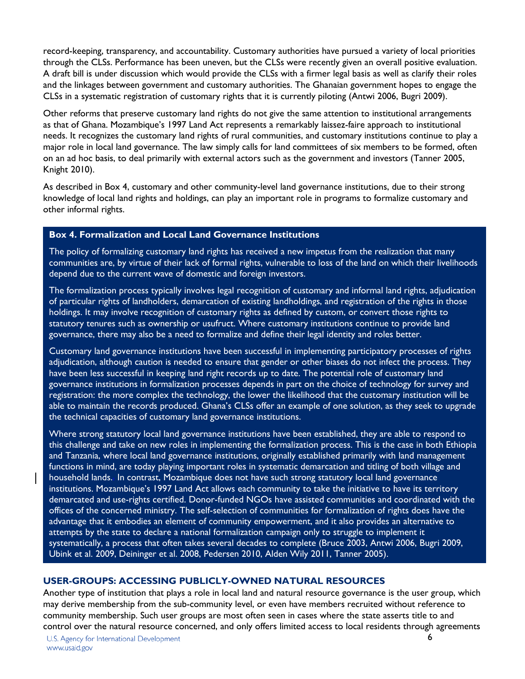record-keeping, transparency, and accountability. Customary authorities have pursued a variety of local priorities through the CLSs. Performance has been uneven, but the CLSs were recently given an overall positive evaluation. A draft bill is under discussion which would provide the CLSs with a firmer legal basis as well as clarify their roles and the linkages between government and customary authorities. The Ghanaian government hopes to engage the CLSs in a systematic registration of customary rights that it is currently piloting (Antwi 2006, Bugri 2009).

Other reforms that preserve customary land rights do not give the same attention to institutional arrangements as that of Ghana. Mozambique's 1997 Land Act represents a remarkably laissez-faire approach to institutional needs. It recognizes the customary land rights of rural communities, and customary institutions continue to play a major role in local land governance. The law simply calls for land committees of six members to be formed, often on an ad hoc basis, to deal primarily with external actors such as the government and investors (Tanner 2005, Knight 2010).

As described in Box 4, customary and other community-level land governance institutions, due to their strong knowledge of local land rights and holdings, can play an important role in programs to formalize customary and other informal rights.

## **Box 4. Formalization and Local Land Governance Institutions**

The policy of formalizing customary land rights has received a new impetus from the realization that many communities are, by virtue of their lack of formal rights, vulnerable to loss of the land on which their livelihoods depend due to the current wave of domestic and foreign investors.

The formalization process typically involves legal recognition of customary and informal land rights, adjudication of particular rights of landholders, demarcation of existing landholdings, and registration of the rights in those holdings. It may involve recognition of customary rights as defined by custom, or convert those rights to statutory tenures such as ownership or usufruct. Where customary institutions continue to provide land governance, there may also be a need to formalize and define their legal identity and roles better.

Customary land governance institutions have been successful in implementing participatory processes of rights adjudication, although caution is needed to ensure that gender or other biases do not infect the process. They have been less successful in keeping land right records up to date. The potential role of customary land governance institutions in formalization processes depends in part on the choice of technology for survey and registration: the more complex the technology, the lower the likelihood that the customary institution will be able to maintain the records produced. Ghana's CLSs offer an example of one solution, as they seek to upgrade the technical capacities of customary land governance institutions.

Where strong statutory local land governance institutions have been established, they are able to respond to this challenge and take on new roles in implementing the formalization process. This is the case in both Ethiopia and Tanzania, where local land governance institutions, originally established primarily with land management functions in mind, are today playing important roles in systematic demarcation and titling of both village and household lands.. In contrast, Mozambique does not have such strong statutory local land governance institutions. Mozambique's 1997 Land Act allows each community to take the initiative to have its territory demarcated and use-rights certified. Donor-funded NGOs have assisted communities and coordinated with the offices of the concerned ministry. The self-selection of communities for formalization of rights does have the advantage that it embodies an element of community empowerment, and it also provides an alternative to attempts by the state to declare a national formalization campaign only to struggle to implement it systematically, a process that often takes several decades to complete (Bruce 2003, Antwi 2006, Bugri 2009, Ubink et al. 2009, Deininger et al. 2008, Pedersen 2010, Alden Wily 2011, Tanner 2005).

## **USER-GROUPS: ACCESSING PUBLICLY-OWNED NATURAL RESOURCES**

Another type of institution that plays a role in local land and natural resource governance is the user group, which may derive membership from the sub-community level, or even have members recruited without reference to community membership. Such user groups are most often seen in cases where the state asserts title to and control over the natural resource concerned, and only offers limited access to local residents through agreements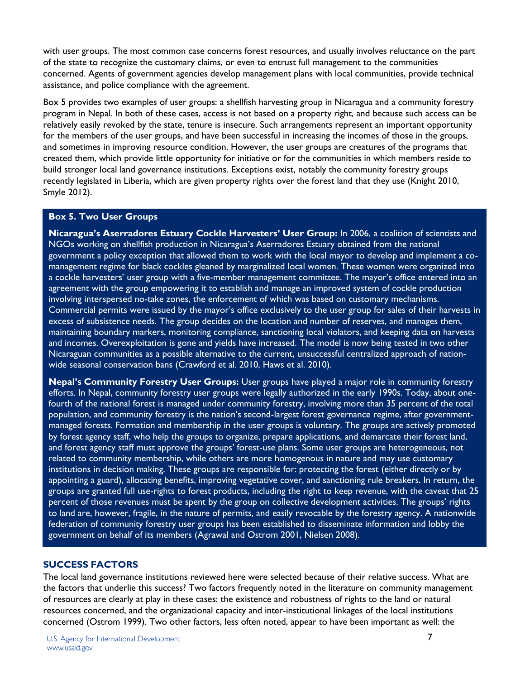with user groups. The most common case concerns forest resources, and usually involves reluctance on the part of the state to recognize the customary claims, or even to entrust full management to the communities concerned. Agents of government agencies develop management plans with local communities, provide technical assistance, and police compliance with the agreement.

Box 5 provides two examples of user groups: a shellfish harvesting group in Nicaragua and a community forestry program in Nepal. In both of these cases, access is not based on a property right, and because such access can be relatively easily revoked by the state, tenure is insecure. Such arrangements represent an important opportunity for the members of the user groups, and have been successful in increasing the incomes of those in the groups, and sometimes in improving resource condition. However, the user groups are creatures of the programs that created them, which provide little opportunity for initiative or for the communities in which members reside to build stronger local land governance institutions. Exceptions exist, notably the community forestry groups recently legislated in Liberia, which are given property rights over the forest land that they use (Knight 2010, Smyle 2012).

# **Box 5. Two User Groups**

**Nicaragua's Aserradores Estuary Cockle Harvesters' User Group:** In 2006, a coalition of scientists and NGOs working on shellfish production in Nicaragua's Aserradores Estuary obtained from the national government a policy exception that allowed them to work with the local mayor to develop and implement a comanagement regime for black cockles gleaned by marginalized local women. These women were organized into a cockle harvesters' user group with a five-member management committee. The mayor's office entered into an agreement with the group empowering it to establish and manage an improved system of cockle production involving interspersed no-take zones, the enforcement of which was based on customary mechanisms. Commercial permits were issued by the mayor's office exclusively to the user group for sales of their harvests in excess of subsistence needs. The group decides on the location and number of reserves, and manages them, maintaining boundary markers, monitoring compliance, sanctioning local violators, and keeping data on harvests and incomes. Overexploitation is gone and yields have increased. The model is now being tested in two other Nicaraguan communities as a possible alternative to the current, unsuccessful centralized approach of nationwide seasonal conservation bans (Crawford et al. 2010, Haws et al. 2010).

**Nepal's Community Forestry User Groups:** User groups have played a major role in community forestry efforts. In Nepal, community forestry user groups were legally authorized in the early 1990s. Today, about onefourth of the national forest is managed under community forestry, involving more than 35 percent of the total population, and community forestry is the nation's second-largest forest governance regime, after governmentmanaged forests. Formation and membership in the user groups is voluntary. The groups are actively promoted by forest agency staff, who help the groups to organize, prepare applications, and demarcate their forest land, and forest agency staff must approve the groups' forest-use plans. Some user groups are heterogeneous, not related to community membership, while others are more homogenous in nature and may use customary institutions in decision making. These groups are responsible for: protecting the forest (either directly or by appointing a guard), allocating benefits, improving vegetative cover, and sanctioning rule breakers. In return, the groups are granted full use-rights to forest products, including the right to keep revenue, with the caveat that 25 percent of those revenues must be spent by the group on collective development activities. The groups' rights to land are, however, fragile, in the nature of permits, and easily revocable by the forestry agency. A nationwide federation of community forestry user groups has been established to disseminate information and lobby the government on behalf of its members (Agrawal and Ostrom 2001, Nielsen 2008).

# **SUCCESS FACTORS**

The local land governance institutions reviewed here were selected because of their relative success. What are the factors that underlie this success? Two factors frequently noted in the literature on community management of resources are clearly at play in these cases: the existence and robustness of rights to the land or natural resources concerned, and the organizational capacity and inter-institutional linkages of the local institutions concerned (Ostrom 1999). Two other factors, less often noted, appear to have been important as well: the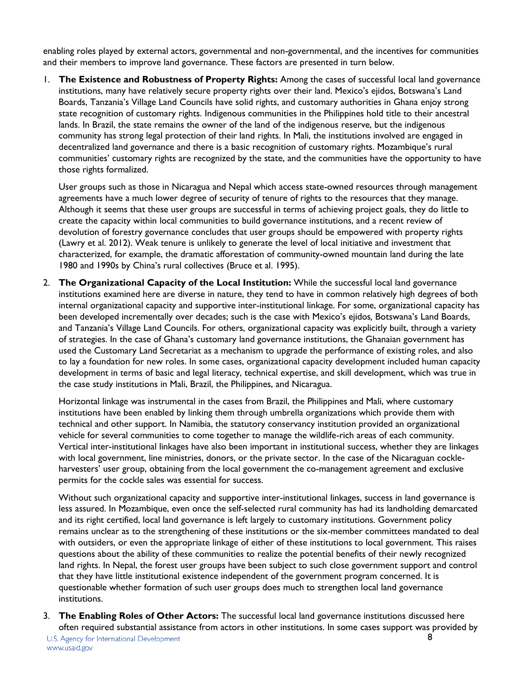enabling roles played by external actors, governmental and non-governmental, and the incentives for communities and their members to improve land governance. These factors are presented in turn below.

1. **The Existence and Robustness of Property Rights:** Among the cases of successful local land governance institutions, many have relatively secure property rights over their land. Mexico's ejidos, Botswana's Land Boards, Tanzania's Village Land Councils have solid rights, and customary authorities in Ghana enjoy strong state recognition of customary rights. Indigenous communities in the Philippines hold title to their ancestral lands. In Brazil, the state remains the owner of the land of the indigenous reserve, but the indigenous community has strong legal protection of their land rights. In Mali, the institutions involved are engaged in decentralized land governance and there is a basic recognition of customary rights. Mozambique's rural communities' customary rights are recognized by the state, and the communities have the opportunity to have those rights formalized.

User groups such as those in Nicaragua and Nepal which access state-owned resources through management agreements have a much lower degree of security of tenure of rights to the resources that they manage. Although it seems that these user groups are successful in terms of achieving project goals, they do little to create the capacity within local communities to build governance institutions, and a recent review of devolution of forestry governance concludes that user groups should be empowered with property rights (Lawry et al. 2012). Weak tenure is unlikely to generate the level of local initiative and investment that characterized, for example, the dramatic afforestation of community-owned mountain land during the late 1980 and 1990s by China's rural collectives (Bruce et al. 1995).

2. **The Organizational Capacity of the Local Institution:** While the successful local land governance institutions examined here are diverse in nature, they tend to have in common relatively high degrees of both internal organizational capacity and supportive inter-institutional linkage. For some, organizational capacity has been developed incrementally over decades; such is the case with Mexico's ejidos*,* Botswana's Land Boards, and Tanzania's Village Land Councils. For others, organizational capacity was explicitly built, through a variety of strategies. In the case of Ghana's customary land governance institutions, the Ghanaian government has used the Customary Land Secretariat as a mechanism to upgrade the performance of existing roles, and also to lay a foundation for new roles. In some cases, organizational capacity development included human capacity development in terms of basic and legal literacy, technical expertise, and skill development, which was true in the case study institutions in Mali, Brazil, the Philippines, and Nicaragua.

Horizontal linkage was instrumental in the cases from Brazil, the Philippines and Mali, where customary institutions have been enabled by linking them through umbrella organizations which provide them with technical and other support. In Namibia, the statutory conservancy institution provided an organizational vehicle for several communities to come together to manage the wildlife-rich areas of each community. Vertical inter-institutional linkages have also been important in institutional success, whether they are linkages with local government, line ministries, donors, or the private sector. In the case of the Nicaraguan cockleharvesters' user group, obtaining from the local government the co-management agreement and exclusive permits for the cockle sales was essential for success.

Without such organizational capacity and supportive inter-institutional linkages, success in land governance is less assured. In Mozambique, even once the self-selected rural community has had its landholding demarcated and its right certified, local land governance is left largely to customary institutions. Government policy remains unclear as to the strengthening of these institutions or the six-member committees mandated to deal with outsiders, or even the appropriate linkage of either of these institutions to local government. This raises questions about the ability of these communities to realize the potential benefits of their newly recognized land rights. In Nepal, the forest user groups have been subject to such close government support and control that they have little institutional existence independent of the government program concerned. It is questionable whether formation of such user groups does much to strengthen local land governance institutions.

3. **The Enabling Roles of Other Actors:** The successful local land governance institutions discussed here often required substantial assistance from actors in other institutions. In some cases support was provided by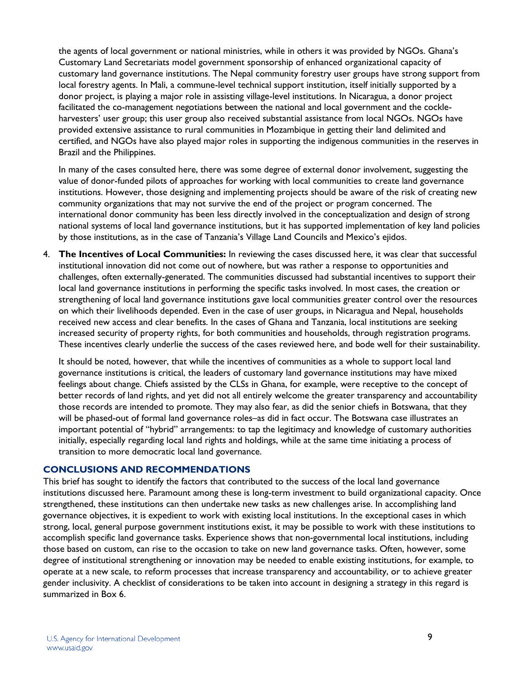the agents of local government or national ministries, while in others it was provided by NGOs. Ghana's Customary Land Secretariats model government sponsorship of enhanced organizational capacity of customary land governance institutions. The Nepal community forestry user groups have strong support from local forestry agents. In Mali, a commune-level technical support institution, itself initially supported by a donor project, is playing a major role in assisting village-level institutions. In Nicaragua, a donor project facilitated the co-management negotiations between the national and local government and the cockleharvesters' user group; this user group also received substantial assistance from local NGOs. NGOs have provided extensive assistance to rural communities in Mozambique in getting their land delimited and certified, and NGOs have also played major roles in supporting the indigenous communities in the reserves in Brazil and the Philippines.

In many of the cases consulted here, there was some degree of external donor involvement, suggesting the value of donor-funded pilots of approaches for working with local communities to create land governance institutions. However, those designing and implementing projects should be aware of the risk of creating new community organizations that may not survive the end of the project or program concerned. The international donor community has been less directly involved in the conceptualization and design of strong national systems of local land governance institutions, but it has supported implementation of key land policies by those institutions, as in the case of Tanzania's Village Land Councils and Mexico's ejidos.

4. **The Incentives of Local Communities:** In reviewing the cases discussed here, it was clear that successful institutional innovation did not come out of nowhere, but was rather a response to opportunities and challenges, often externally-generated. The communities discussed had substantial incentives to support their local land governance institutions in performing the specific tasks involved. In most cases, the creation or strengthening of local land governance institutions gave local communities greater control over the resources on which their livelihoods depended. Even in the case of user groups, in Nicaragua and Nepal, households received new access and clear benefits. In the cases of Ghana and Tanzania, local institutions are seeking increased security of property rights, for both communities and households, through registration programs. These incentives clearly underlie the success of the cases reviewed here, and bode well for their sustainability.

It should be noted, however, that while the incentives of communities as a whole to support local land governance institutions is critical, the leaders of customary land governance institutions may have mixed feelings about change. Chiefs assisted by the CLSs in Ghana, for example, were receptive to the concept of better records of land rights, and yet did not all entirely welcome the greater transparency and accountability those records are intended to promote. They may also fear, as did the senior chiefs in Botswana, that they will be phased-out of formal land governance roles–as did in fact occur. The Botswana case illustrates an important potential of "hybrid" arrangements: to tap the legitimacy and knowledge of customary authorities initially, especially regarding local land rights and holdings, while at the same time initiating a process of transition to more democratic local land governance.

# **CONCLUSIONS AND RECOMMENDATIONS**

This brief has sought to identify the factors that contributed to the success of the local land governance institutions discussed here. Paramount among these is long-term investment to build organizational capacity. Once strengthened, these institutions can then undertake new tasks as new challenges arise. In accomplishing land governance objectives, it is expedient to work with existing local institutions. In the exceptional cases in which strong, local, general purpose government institutions exist, it may be possible to work with these institutions to accomplish specific land governance tasks. Experience shows that non-governmental local institutions, including those based on custom, can rise to the occasion to take on new land governance tasks. Often, however, some degree of institutional strengthening or innovation may be needed to enable existing institutions, for example, to operate at a new scale, to reform processes that increase transparency and accountability, or to achieve greater gender inclusivity. A checklist of considerations to be taken into account in designing a strategy in this regard is summarized in Box 6.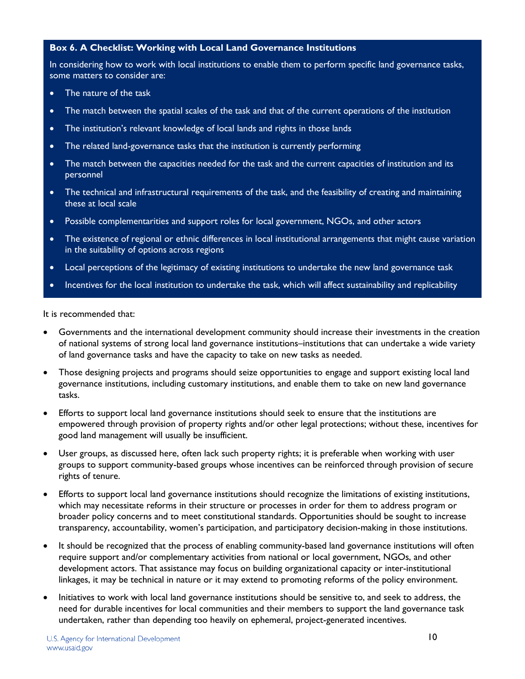# **Box 6. A Checklist: Working with Local Land Governance Institutions**

In considering how to work with local institutions to enable them to perform specific land governance tasks, some matters to consider are:

- The nature of the task
- The match between the spatial scales of the task and that of the current operations of the institution
- The institution's relevant knowledge of local lands and rights in those lands
- The related land-governance tasks that the institution is currently performing
- The match between the capacities needed for the task and the current capacities of institution and its personnel
- The technical and infrastructural requirements of the task, and the feasibility of creating and maintaining these at local scale
- Possible complementarities and support roles for local government, NGOs, and other actors
- The existence of regional or ethnic differences in local institutional arrangements that might cause variation in the suitability of options across regions
- Local perceptions of the legitimacy of existing institutions to undertake the new land governance task
- Incentives for the local institution to undertake the task, which will affect sustainability and replicability

It is recommended that:

- Governments and the international development community should increase their investments in the creation of national systems of strong local land governance institutions–institutions that can undertake a wide variety of land governance tasks and have the capacity to take on new tasks as needed.
- Those designing projects and programs should seize opportunities to engage and support existing local land governance institutions, including customary institutions, and enable them to take on new land governance tasks.
- Efforts to support local land governance institutions should seek to ensure that the institutions are empowered through provision of property rights and/or other legal protections; without these, incentives for good land management will usually be insufficient.
- User groups, as discussed here, often lack such property rights; it is preferable when working with user groups to support community-based groups whose incentives can be reinforced through provision of secure rights of tenure.
- Efforts to support local land governance institutions should recognize the limitations of existing institutions, which may necessitate reforms in their structure or processes in order for them to address program or broader policy concerns and to meet constitutional standards. Opportunities should be sought to increase transparency, accountability, women's participation, and participatory decision-making in those institutions.
- It should be recognized that the process of enabling community-based land governance institutions will often require support and/or complementary activities from national or local government, NGOs, and other development actors. That assistance may focus on building organizational capacity or inter-institutional linkages, it may be technical in nature or it may extend to promoting reforms of the policy environment.
- Initiatives to work with local land governance institutions should be sensitive to, and seek to address, the need for durable incentives for local communities and their members to support the land governance task undertaken, rather than depending too heavily on ephemeral, project-generated incentives.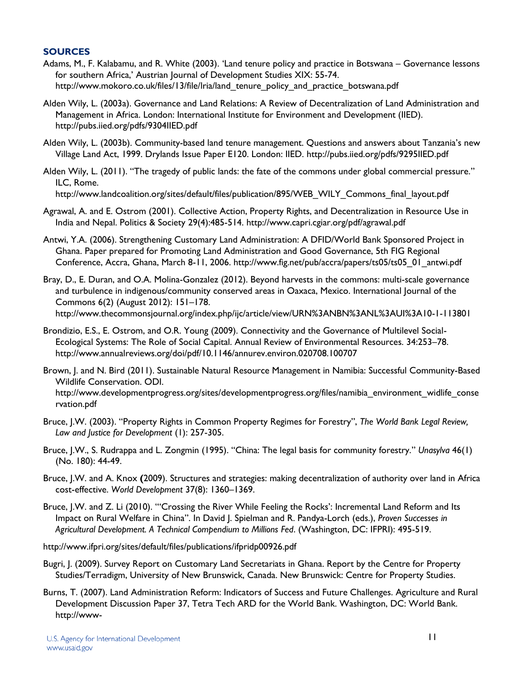# **SOURCES**

- Adams, M., F. Kalabamu, and R. White (2003). 'Land tenure policy and practice in Botswana Governance lessons for southern Africa,' Austrian Journal of Development Studies XIX: 55-74. [http://www.mokoro.co.uk/files/13/file/lria/land\\_tenure\\_policy\\_and\\_practice\\_botswana.pdf](http://www.mokoro.co.uk/files/13/file/lria/land_tenure_policy_and_practice_botswana.pdf)
- Alden Wily, L. (2003a). Governance and Land Relations: A Review of Decentralization of Land Administration and Management in Africa. London: International Institute for Environment and Development (IIED). <http://pubs.iied.org/pdfs/9304IIED.pdf>
- Alden Wily, L. (2003b). Community-based land tenure management. Questions and answers about Tanzania's new Village Land Act, 1999. Drylands Issue Paper E120. London: IIED.<http://pubs.iied.org/pdfs/9295IIED.pdf>
- Alden Wily, L. (2011). "The tragedy of public lands: the fate of the commons under global commercial pressure." ILC, Rome. [http://www.landcoalition.org/sites/default/files/publication/895/WEB\\_WILY\\_Commons\\_final\\_layout.pdf](http://www.landcoalition.org/sites/default/files/publication/895/WEB_WILY_Commons_final_layout.pdf)
- Agrawal, A. and E. Ostrom (2001). Collective Action, Property Rights, and Decentralization in Resource Use in
- India and Nepal. Politics & Society 29(4):485-514.<http://www.capri.cgiar.org/pdf/agrawal.pdf>
- Antwi, Y.A. (2006). Strengthening Customary Land Administration: A DFID/World Bank Sponsored Project in Ghana. Paper prepared for Promoting Land Administration and Good Governance, 5th FIG Regional Conference, Accra, Ghana, March 8-11, 2006. [http://www.fig.net/pub/accra/papers/ts05/ts05\\_01\\_antwi.pdf](http://www.fig.net/pub/accra/papers/ts05/ts05_01_antwi.pdf)
- Bray, D., E. Duran, and O.A. Molina-Gonzalez (2012). Beyond harvests in the commons: multi-scale governance and turbulence in indigenous/community conserved areas in Oaxaca, Mexico. International Journal of the Commons 6(2) (August 2012): 151–178. <http://www.thecommonsjournal.org/index.php/ijc/article/view/URN%3ANBN%3ANL%3AUI%3A10-1-113801>
- Brondizio, E.S., E. Ostrom, and O.R. Young (2009). Connectivity and the Governance of Multilevel Social-Ecological Systems: The Role of Social Capital. Annual Review of Environmental Resources. 34:253–78. <http://www.annualreviews.org/doi/pdf/10.1146/annurev.environ.020708.100707>
- Brown, J. and N. Bird (2011). Sustainable Natural Resource Management in Namibia: Successful Community-Based Wildlife Conservation. ODI. [http://www.developmentprogress.org/sites/developmentprogress.org/files/namibia\\_environment\\_widlife\\_conse](http://www.developmentprogress.org/sites/developmentprogress.org/files/namibia_environment_widlife_conservation.pdf) [rvation.pdf](http://www.developmentprogress.org/sites/developmentprogress.org/files/namibia_environment_widlife_conservation.pdf)
- Bruce, J.W. (2003). "Property Rights in Common Property Regimes for Forestry", *The World Bank Legal Review, Law and Justice for Development* (1): 257-305.
- Bruce, J.W., S. Rudrappa and L. Zongmin (1995). "China: The legal basis for community forestry." *Unasylva* 46(1) (No. 180): 44-49.
- Bruce, J.W. and A. Knox **(**2009). Structures and strategies: making decentralization of authority over land in Africa cost-effective. *World Development* 37(8): 1360–1369.
- Bruce, J.W. and Z. Li (2010). "'Crossing the River While Feeling the Rocks': Incremental Land Reform and Its Impact on Rural Welfare in China". In David J. Spielman and R. Pandya-Lorch (eds.), *Proven Successes in Agricultural Development. A Technical Compendium to Millions Fed*. (Washington, DC: IFPRI): 495-519.
- http://www.ifpri.org/sites/default/files/publications/ifpridp00926.pdf
- Bugri, J. (2009). Survey Report on Customary Land Secretariats in Ghana. Report by the Centre for Property Studies/Terradigm, University of New Brunswick, Canada. New Brunswick: Centre for Property Studies.
- Burns, T. (2007). Land Administration Reform: Indicators of Success and Future Challenges. Agriculture and Rural Development Discussion Paper 37, Tetra Tech ARD for the World Bank. Washington, DC: World Bank. http://www-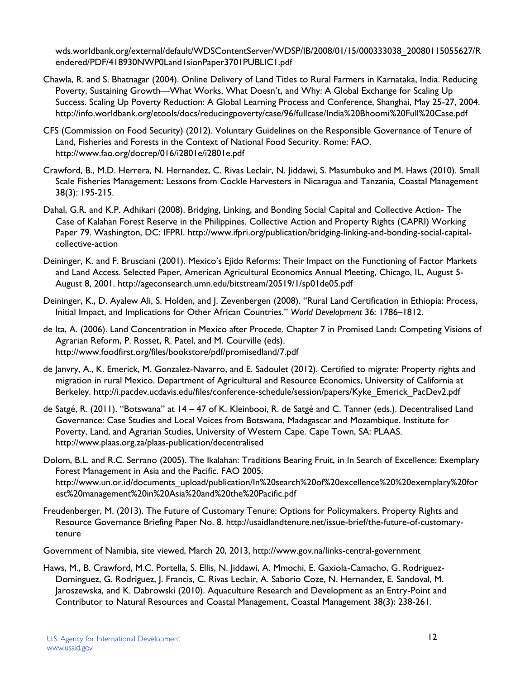wds.worldbank.org/external/default/WDSContentServer/WDSP/IB/2008/01/15/000333038\_20080115055627/R endered/PDF/418930NWP0Land1sionPaper3701PUBLIC1.pdf

- Chawla, R. and S. Bhatnagar (2004). Online Delivery of Land Titles to Rural Farmers in Karnataka, India. Reducing Poverty, Sustaining Growth—What Works, What Doesn't, and Why: A Global Exchange for Scaling Up Success. Scaling Up Poverty Reduction: A Global Learning Process and Conference, Shanghai, May 25-27, 2004. <http://info.worldbank.org/etools/docs/reducingpoverty/case/96/fullcase/India%20Bhoomi%20Full%20Case.pdf>
- CFS (Commission on Food Security) (2012). Voluntary Guidelines on the Responsible Governance of Tenure of Land, Fisheries and Forests in the Context of National Food Security. Rome: FAO. <http://www.fao.org/docrep/016/i2801e/i2801e.pdf>
- Crawford, B., M.D. Herrera, N. Hernandez, C. Rivas Leclair, N. Jiddawi, S. Masumbuko and M. Haws (2010). Small Scale Fisheries Management: Lessons from Cockle Harvesters in Nicaragua and Tanzania, Coastal Management 38(3): 195-215.
- Dahal, G.R. and K.P. Adhikari (2008). Bridging, Linking, and Bonding Social Capital and Collective Action- The Case of Kalahan Forest Reserve in the Philippines. Collective Action and Property Rights (CAPRI) Working Paper 79. Washington, DC: IFPRI. http://www.ifpri.org/publication/bridging-linking-and-bonding-social-capitalcollective-action
- Deininger, K. and F. Brusciani (2001). Mexico's Ejido Reforms: Their Impact on the Functioning of Factor Markets and Land Access. Selected Paper, American Agricultural Economics Annual Meeting, Chicago, IL, August 5- August 8, 2001.<http://ageconsearch.umn.edu/bitstream/20519/1/sp01de05.pdf>
- Deininger, K., D. Ayalew Ali, S. Holden, and J. Zevenbergen (2008). "Rural Land Certification in Ethiopia: Process, Initial Impact, and Implications for Other African Countries." *World Development* 36: 1786–1812.
- de Ita, A. (2006). Land Concentration in Mexico after Procede. Chapter 7 in Promised Land**:** Competing Visions of Agrarian Reform, P. Rosset, R. Patel, and M. Courville (eds). http://www.foodfirst.org/files/bookstore/pdf/promisedland/7.pdf
- de Janvry, A., K. Emerick, M. Gonzalez-Navarro, and E. Sadoulet (2012). Certified to migrate: Property rights and migration in rural Mexico. Department of Agricultural and Resource Economics, University of California at Berkeley. [http://i.pacdev.ucdavis.edu/files/conference-schedule/session/papers/Kyke\\_Emerick\\_PacDev2.pdf](http://i.pacdev.ucdavis.edu/files/conference-schedule/session/papers/Kyke_Emerick_PacDev2.pdf)
- de Satgé, R. (2011). "Botswana" at 14 47 of K. Kleinbooi, R. de Satgé and C. Tanner (eds.). Decentralised Land Governance: Case Studies and Local Voices from Botswana, Madagascar and Mozambique. Institute for Poverty, Land, and Agrarian Studies, University of Western Cape. Cape Town, SA: PLAAS. <http://www.plaas.org.za/plaas-publication/decentralised>
- Dolom, B.L. and R.C. Serrano (2005). The Ikalahan: Traditions Bearing Fruit, in In Search of Excellence: Exemplary Forest Management in Asia and the Pacific. FAO 2005. http://www.un.or.id/documents\_upload/publication/In%20search%20of%20excellence%20%20exemplary%20for est%20management%20in%20Asia%20and%20the%20Pacific.pdf
- Freudenberger, M. (2013). The Future of Customary Tenure: Options for Policymakers. Property Rights and Resource Governance Briefing Paper No. 8. http://usaidlandtenure.net/issue-brief/the-future-of-customarytenure

Government of Namibia, site viewed, March 20, 2013,<http://www.gov.na/links-central-government>

Haws, M., B. Crawford, M.C. Portella, S. Ellis, N. Jiddawi, A. Mmochi, E. Gaxiola-Camacho, G. Rodriguez-Dominguez, G. Rodriguez, J. Francis, C. Rivas Leclair, A. Saborio Coze, N. Hernandez, E. Sandoval, M. Jaroszewska, and K. Dabrowski (2010). Aquaculture Research and Development as an Entry-Point and Contributor to Natural Resources and Coastal Management, Coastal Management 38(3): 238-261.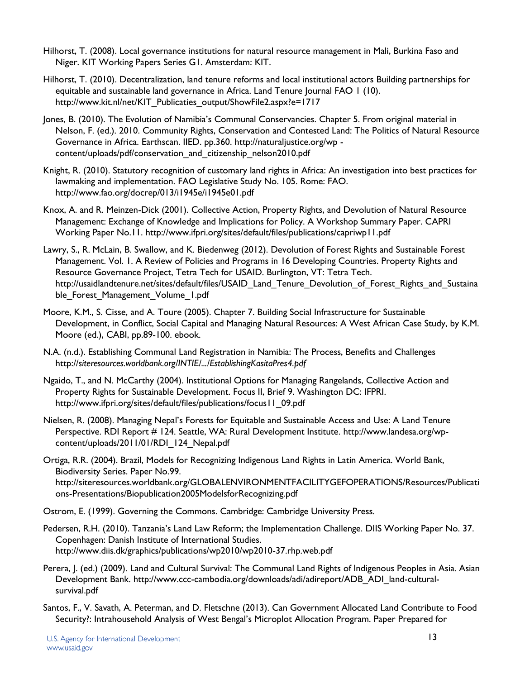- Hilhorst, T. (2008). Local governance institutions for natural resource management in Mali, Burkina Faso and Niger. KIT Working Papers Series G1. Amsterdam: KIT.
- Hilhorst, T. (2010). Decentralization, land tenure reforms and local institutional actors Building partnerships for equitable and sustainable land governance in Africa. Land Tenure Journal FAO 1 (10). http://www.kit.nl/net/KIT\_Publicaties\_output/ShowFile2.aspx?e=1717
- Jones, B. (2010). The Evolution of Namibia's Communal Conservancies. Chapter 5. From original material in Nelson, F. (ed.). 2010. Community Rights, Conservation and Contested Land: The Politics of Natural Resource Governance in Africa. Earthscan. IIED. pp.360. http://naturaljustice.org/wp content/uploads/pdf/conservation\_and\_citizenship\_nelson2010.pdf
- Knight, R. (2010). Statutory recognition of customary land rights in Africa: An investigation into best practices for lawmaking and implementation. FAO Legislative Study No. 105. Rome: FAO. <http://www.fao.org/docrep/013/i1945e/i1945e01.pdf>
- Knox, A. and R. Meinzen-Dick (2001). Collective Action, Property Rights, and Devolution of Natural Resource Management: Exchange of Knowledge and Implications for Policy. A Workshop Summary Paper. CAPRI Working Paper No.11.<http://www.ifpri.org/sites/default/files/publications/capriwp11.pdf>
- Lawry, S., R. McLain, B. Swallow, and K. Biedenweg (2012). Devolution of Forest Rights and Sustainable Forest Management. Vol. 1. A Review of Policies and Programs in 16 Developing Countries. Property Rights and Resource Governance Project, Tetra Tech for USAID. Burlington, VT: Tetra Tech. http://usaidlandtenure.net/sites/default/files/USAID\_Land\_Tenure\_Devolution\_of\_Forest\_Rights\_and\_Sustaina ble Forest Management Volume 1.pdf
- Moore, K.M., S. Cisse, and A. Toure (2005). Chapter 7. Building Social Infrastructure for Sustainable Development, in Conflict, Social Capital and Managing Natural Resources: A West African Case Study, by K.M. Moore (ed.), CABI, pp.89-100. ebook.
- N.A. (n.d.). Establishing Communal Land Registration in Namibia: The Process, Benefits and Challenges http://*siteresources.worldbank.org/INTIE/.../EstablishingKasitaPres4.pdf*
- Ngaido, T., and N. McCarthy (2004). Institutional Options for Managing Rangelands, Collective Action and Property Rights for Sustainable Development. Focus II, Brief 9. Washington DC: IFPRI. http://www.ifpri.org/sites/default/files/publications/focus11\_09.pdf
- Nielsen, R. (2008). Managing Nepal's Forests for Equitable and Sustainable Access and Use: A Land Tenure Perspective. RDI Report # 124. Seattle, WA: Rural Development Institute. [http://www.landesa.org/wp](http://www.landesa.org/wp-content/uploads/2011/01/RDI_124_Nepal.pdf)[content/uploads/2011/01/RDI\\_124\\_Nepal.pdf](http://www.landesa.org/wp-content/uploads/2011/01/RDI_124_Nepal.pdf)
- Ortiga, R.R. (2004). Brazil, Models for Recognizing Indigenous Land Rights in Latin America. World Bank, Biodiversity Series. Paper No.99. http://siteresources.worldbank.org/GLOBALENVIRONMENTFACILITYGEFOPERATIONS/Resources/Publicati ons-Presentations/Biopublication2005ModelsforRecognizing.pdf
- Ostrom, E. (1999). Governing the Commons. Cambridge: Cambridge University Press.
- Pedersen, R.H. (2010). Tanzania's Land Law Reform; the Implementation Challenge. DIIS Working Paper No. 37. Copenhagen: Danish Institute of International Studies. <http://www.diis.dk/graphics/publications/wp2010/wp2010-37.rhp.web.pdf>
- Perera, J. (ed.) (2009). Land and Cultural Survival: The Communal Land Rights of Indigenous Peoples in Asia. Asian Development Bank. http://www.ccc-cambodia.org/downloads/adi/adireport/ADB\_ADI\_land-culturalsurvival.pdf
- Santos, F., V. Savath, A. Peterman, and D. Fletschne (2013). Can Government Allocated Land Contribute to Food Security?: Intrahousehold Analysis of West Bengal's Microplot Allocation Program. Paper Prepared for